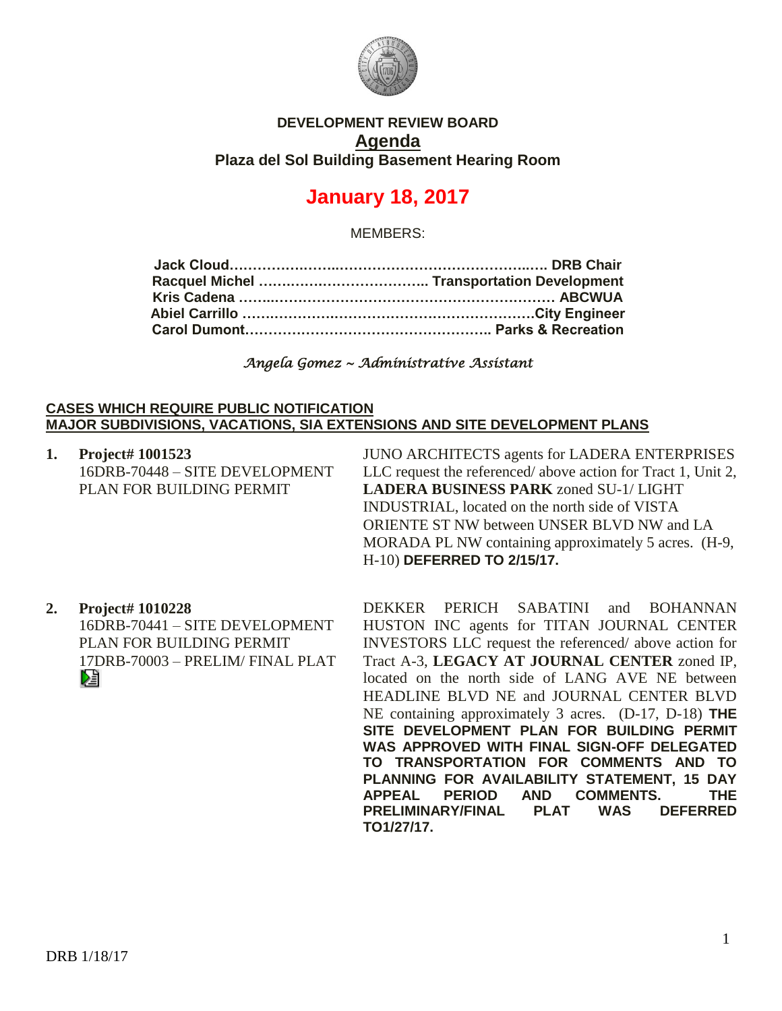

## **DEVELOPMENT REVIEW BOARD Agenda Plaza del Sol Building Basement Hearing Room**

# **January 18, 2017**

MEMBERS:

*Angela Gomez ~ Administrative Assistant* 

#### **CASES WHICH REQUIRE PUBLIC NOTIFICATION MAJOR SUBDIVISIONS, VACATIONS, SIA EXTENSIONS AND SITE DEVELOPMENT PLANS**

| 1. | Project# 1001523               | JUNO ARCHITECTS agents for LADERA ENTERPRISES                |
|----|--------------------------------|--------------------------------------------------------------|
|    | 16DRB-70448 - SITE DEVELOPMENT | LLC request the referenced/above action for Tract 1, Unit 2, |
|    | PLAN FOR BUILDING PERMIT       | <b>LADERA BUSINESS PARK zoned SU-1/ LIGHT</b>                |
|    |                                | INDUSTRIAL, located on the north side of VISTA               |
|    |                                | ORIENTE ST NW between UNSER BLVD NW and LA                   |
|    |                                | MORADA PL NW containing approximately 5 acres. (H-9,         |
|    |                                | H-10) DEFERRED TO 2/15/17.                                   |
|    |                                |                                                              |

# **2. Project# 1010228**

16DRB-70441 – SITE DEVELOPMENT PLAN FOR BUILDING PERMIT 17DRB-70003 – PRELIM/ FINAL PLAT 阻

DEKKER PERICH SABATINI and BOHANNAN HUSTON INC agents for TITAN JOURNAL CENTER INVESTORS LLC request the referenced/ above action for Tract A-3, **LEGACY AT JOURNAL CENTER** zoned IP, located on the north side of LANG AVE NE between HEADLINE BLVD NE and JOURNAL CENTER BLVD NE containing approximately 3 acres. (D-17, D-18) **THE SITE DEVELOPMENT PLAN FOR BUILDING PERMIT WAS APPROVED WITH FINAL SIGN-OFF DELEGATED TO TRANSPORTATION FOR COMMENTS AND TO PLANNING FOR AVAILABILITY STATEMENT, 15 DAY APPEAL PERIOD AND COMMENTS. THE PRELIMINARY/FINAL PLAT WAS DEFERRED TO1/27/17.**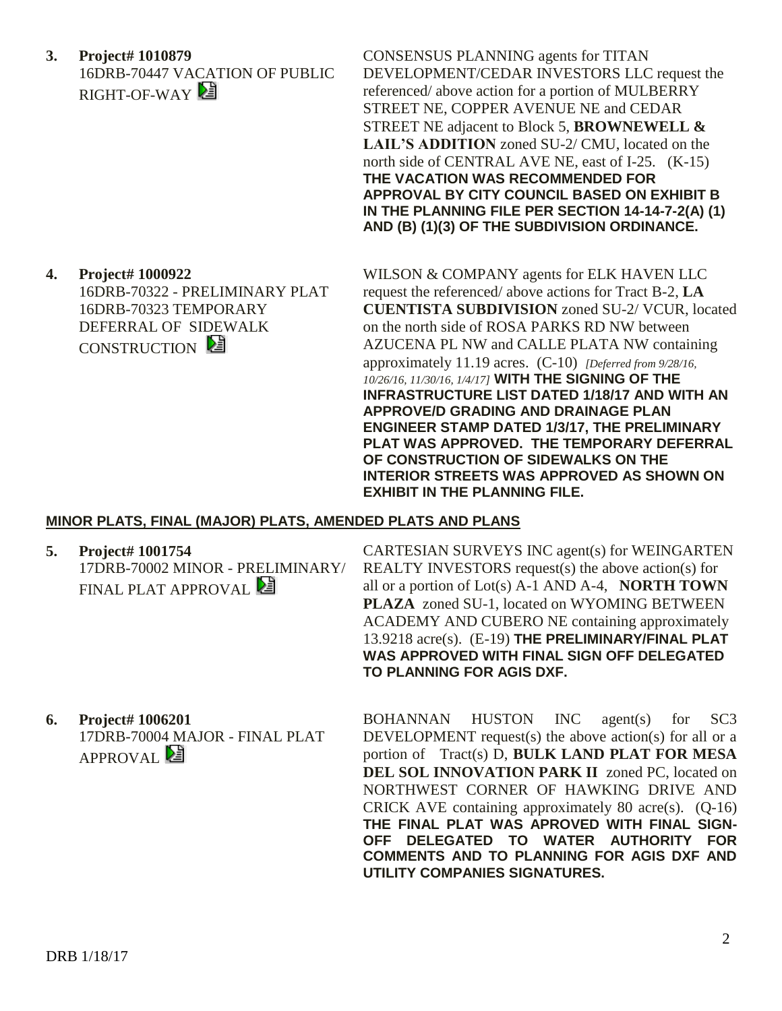**3. Project# 1010879** 16DRB-70447 VACATION OF PUBLIC RIGHT-OF-WAY

CONSENSUS PLANNING agents for TITAN DEVELOPMENT/CEDAR INVESTORS LLC request the referenced/ above action for a portion of MULBERRY STREET NE, COPPER AVENUE NE and CEDAR STREET NE adjacent to Block 5, **BROWNEWELL & LAIL'S ADDITION** zoned SU-2/ CMU, located on the north side of CENTRAL AVE NE, east of I-25. (K-15) **THE VACATION WAS RECOMMENDED FOR APPROVAL BY CITY COUNCIL BASED ON EXHIBIT B IN THE PLANNING FILE PER SECTION 14-14-7-2(A) (1) AND (B) (1)(3) OF THE SUBDIVISION ORDINANCE.**

**4. Project# 1000922** 16DRB-70322 - PRELIMINARY PLAT 16DRB-70323 TEMPORARY DEFERRAL OF SIDEWALK CONSTRUCTION

WILSON & COMPANY agents for ELK HAVEN LLC request the referenced/ above actions for Tract B-2, **LA CUENTISTA SUBDIVISION** zoned SU-2/ VCUR, located on the north side of ROSA PARKS RD NW between AZUCENA PL NW and CALLE PLATA NW containing approximately 11.19 acres. (C-10) *[Deferred from 9/28/16, 10/26/16, 11/30/16, 1/4/17]* **WITH THE SIGNING OF THE INFRASTRUCTURE LIST DATED 1/18/17 AND WITH AN APPROVE/D GRADING AND DRAINAGE PLAN ENGINEER STAMP DATED 1/3/17, THE PRELIMINARY PLAT WAS APPROVED. THE TEMPORARY DEFERRAL OF CONSTRUCTION OF SIDEWALKS ON THE INTERIOR STREETS WAS APPROVED AS SHOWN ON EXHIBIT IN THE PLANNING FILE.** 

### **MINOR PLATS, FINAL (MAJOR) PLATS, AMENDED PLATS AND PLANS**

**5. Project# 1001754**

17DRB-70002 MINOR - PRELIMINARY/ FINAL PLAT APPROVAL

CARTESIAN SURVEYS INC agent(s) for WEINGARTEN REALTY INVESTORS request(s) the above action(s) for all or a portion of Lot(s) A-1 AND A-4, **NORTH TOWN PLAZA** zoned SU-1, located on WYOMING BETWEEN ACADEMY AND CUBERO NE containing approximately 13.9218 acre(s). (E-19) **THE PRELIMINARY/FINAL PLAT WAS APPROVED WITH FINAL SIGN OFF DELEGATED TO PLANNING FOR AGIS DXF.**

**6. Project# 1006201** 17DRB-70004 MAJOR - FINAL PLAT APPROVAL<sup>2</sup>

BOHANNAN HUSTON INC agent(s) for SC3 DEVELOPMENT request(s) the above action(s) for all or a portion of Tract(s) D, **BULK LAND PLAT FOR MESA DEL SOL INNOVATION PARK II** zoned PC, located on NORTHWEST CORNER OF HAWKING DRIVE AND CRICK AVE containing approximately 80 acre(s). (Q-16) **THE FINAL PLAT WAS APROVED WITH FINAL SIGN-OFF DELEGATED TO WATER AUTHORITY FOR COMMENTS AND TO PLANNING FOR AGIS DXF AND UTILITY COMPANIES SIGNATURES.**